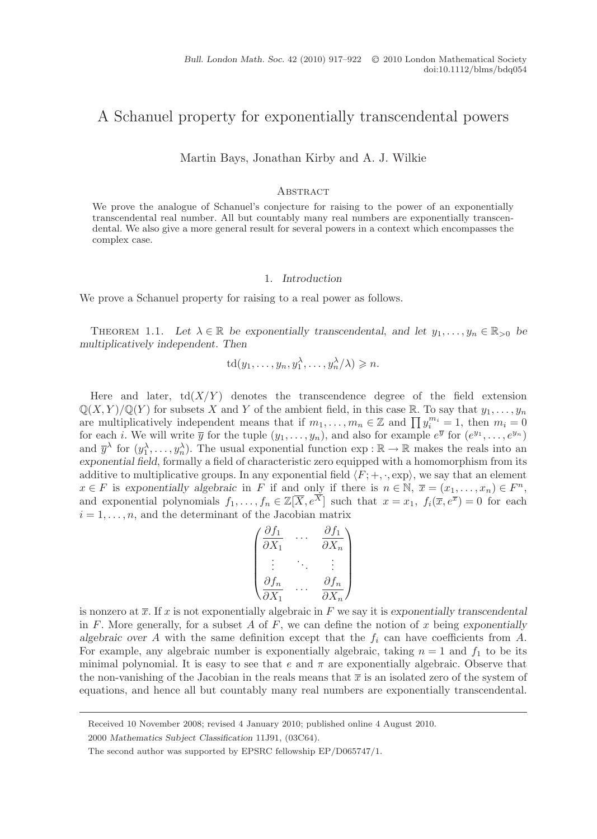# A Schanuel property for exponentially transcendental powers

Martin Bays, Jonathan Kirby and A. J. Wilkie

### **ABSTRACT**

We prove the analogue of Schanuel's conjecture for raising to the power of an exponentially transcendental real number. All but countably many real numbers are exponentially transcendental. We also give a more general result for several powers in a context which encompasses the complex case.

# 1. Introduction

We prove a Schanuel property for raising to a real power as follows.

THEOREM 1.1. Let  $\lambda \in \mathbb{R}$  be exponentially transcendental, and let  $y_1, \ldots, y_n \in \mathbb{R}_{>0}$  be multiplicatively independent. Then

$$
\operatorname{td}(y_1,\ldots,y_n,y_1^{\lambda},\ldots,y_n^{\lambda}/\lambda)\geqslant n.
$$

Here and later,  $td(X/Y)$  denotes the transcendence degree of the field extension  $\mathbb{Q}(X, Y)/\mathbb{Q}(Y)$  for subsets X and Y of the ambient field, in this case R. To say that  $y_1, \ldots, y_n$ are multiplicatively independent means that if  $m_1, \ldots, m_n \in \mathbb{Z}$  and  $\prod y_i^{m_i} = 1$ , then  $m_i = 0$ for each i. We will write  $\overline{y}$  for the tuple  $(y_1,\ldots,y_n)$ , and also for example  $e^{\overline{y}}$  for  $(e^{y_1},\ldots,e^{y_n})$ and  $\overline{y}^{\lambda}$  for  $(y_1^{\lambda}, \ldots, y_n^{\lambda})$ . The usual exponential function  $\exp : \mathbb{R} \to \mathbb{R}$  makes the reals into an exponential field, formally a field of characteristic zero equipped with a homomorphism from its additive to multiplicative groups. In any exponential field  $\langle F; +, \cdot, \exp \rangle$ , we say that an element  $x \in F$  is exponentially algebraic in F if and only if there is  $n \in \mathbb{N}, \ \overline{x} = (x_1, \ldots, x_n) \in F^n$ , and exponential polynomials  $f_1, \ldots, f_n \in \mathbb{Z}[\overline{X}, e^{\overline{X}}]$  such that  $x = x_1, f_i(\overline{x}, e^{\overline{x}}) = 0$  for each  $i = 1, \ldots, n$ , and the determinant of the Jacobian matrix

$$
\begin{pmatrix}\n\frac{\partial f_1}{\partial X_1} & \cdots & \frac{\partial f_1}{\partial X_n} \\
\vdots & \ddots & \vdots \\
\frac{\partial f_n}{\partial X_1} & \cdots & \frac{\partial f_n}{\partial X_n}\n\end{pmatrix}
$$

is nonzero at  $\bar{x}$ . If x is not exponentially algebraic in F we say it is exponentially transcendental in F. More generally, for a subset A of F, we can define the notion of x being exponentially algebraic over A with the same definition except that the  $f_i$  can have coefficients from A. For example, any algebraic number is exponentially algebraic, taking  $n = 1$  and  $f_1$  to be its minimal polynomial. It is easy to see that e and  $\pi$  are exponentially algebraic. Observe that the non-vanishing of the Jacobian in the reals means that  $\bar{x}$  is an isolated zero of the system of equations, and hence all but countably many real numbers are exponentially transcendental.

Received 10 November 2008; revised 4 January 2010; published online 4 August 2010.

<sup>2000</sup> Mathematics Subject Classification 11J91, (03C64).

The second author was supported by EPSRC fellowship EP/D065747/1.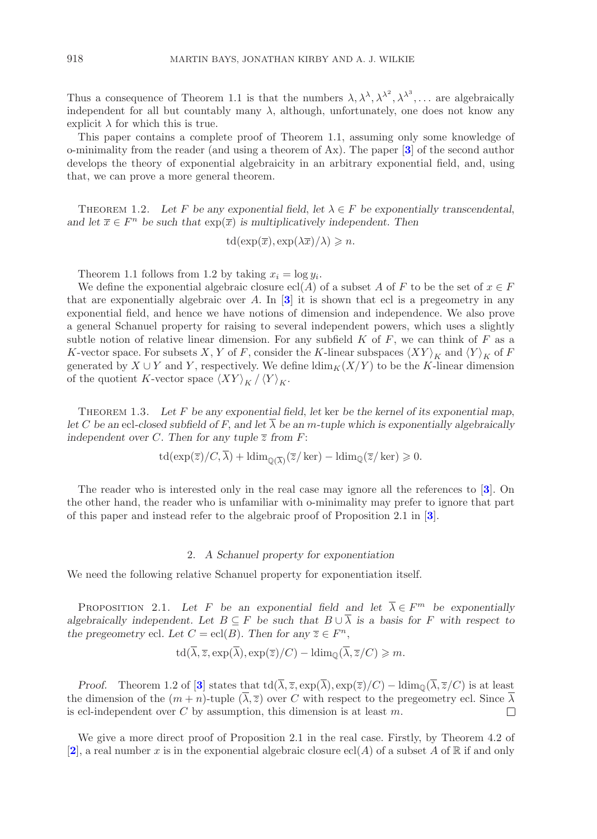Thus a consequence of Theorem 1.1 is that the numbers  $\lambda, \lambda^{\lambda}, \lambda^{\lambda^2}, \lambda^{\lambda^3}, \ldots$  are algebraically independent for all but countably many  $\lambda$ , although, unfortunately, one does not know any explicit  $\lambda$  for which this is true.

This paper contains a complete proof of Theorem 1.1, assuming only some knowledge of o-minimality from the reader (and using a theorem of Ax). The paper  $\mathbf{3}$  $\mathbf{3}$  $\mathbf{3}$  of the second author develops the theory of exponential algebraicity in an arbitrary exponential field, and, using that, we can prove a more general theorem.

THEOREM 1.2. Let F be any exponential field, let  $\lambda \in F$  be exponentially transcendental, and let  $\overline{x} \in F^n$  be such that  $\exp(\overline{x})$  is multiplicatively independent. Then

$$
\operatorname{td}(\exp(\overline{x}), \exp(\lambda \overline{x})/\lambda) \geqslant n.
$$

Theorem 1.1 follows from 1.2 by taking  $x_i = \log y_i$ .

We define the exponential algebraic closure ecl(A) of a subset A of F to be the set of  $x \in F$ that are exponentially algebraic over A. In  $\boxed{3}$  $\boxed{3}$  $\boxed{3}$  it is shown that ecl is a pregeometry in any exponential field, and hence we have notions of dimension and independence. We also prove a general Schanuel property for raising to several independent powers, which uses a slightly subtle notion of relative linear dimension. For any subfield  $K$  of  $F$ , we can think of  $F$  as a K-vector space. For subsets X, Y of F, consider the K-linear subspaces  $\langle XY \rangle_K$  and  $\langle Y \rangle_K$  of F generated by  $X \cup Y$  and Y, respectively. We define  $\dim_K(X/Y)$  to be the K-linear dimension of the quotient K-vector space  $\langle XY \rangle_K / \langle Y \rangle_K$ .

THEOREM 1.3. Let  $F$  be any exponential field, let ker be the kernel of its exponential map, let C be an ecl-closed subfield of F, and let  $\overline{\lambda}$  be an m-tuple which is exponentially algebraically independent over C. Then for any tuple  $\overline{z}$  from F:

$$
\operatorname{td}(\exp(\overline{z})/C,\lambda) + \operatorname{ldim}_{\mathbb{Q}(\overline{\lambda})}(\overline{z}/\ker) - \operatorname{ldim}_{\mathbb{Q}}(\overline{z}/\ker) \geq 0.
$$

The reader who is interested only in the real case may ignore all the references to [[3](#page-4-0)]. On the other hand, the reader who is unfamiliar with o-minimality may prefer to ignore that part of this paper and instead refer to the algebraic proof of Proposition 2.1 in [[3](#page-4-0)].

## 2. A Schanuel property for exponentiation

We need the following relative Schanuel property for exponentiation itself.

PROPOSITION 2.1. Let F be an exponential field and let  $\overline{\lambda} \in F^m$  be exponentially algebraically independent. Let  $B \subseteq F$  be such that  $B \cup \overline{\lambda}$  is a basis for F with respect to the pregeometry ecl. Let  $C = \text{ecl}(B)$ . Then for any  $\overline{z} \in F^n$ ,

$$
\operatorname{td}(\lambda, \overline{z}, \exp(\lambda), \exp(\overline{z})/C) - \operatorname{ldim}_{\mathbb{Q}}(\lambda, \overline{z}/C) \geqslant m.
$$

*Proof.* Theorem 1.2 of [[3](#page-4-0)] states that td( $\overline{\lambda}, \overline{z}$ , exp( $\overline{\lambda}$ ), exp( $\overline{z}$ )/C) – ldim<sub>0</sub>( $\overline{\lambda}, \overline{z}$ /C) is at least the dimension of the  $(m+n)$ -tuple  $(\overline{\lambda}, \overline{z})$  over C with respect to the pregeometry ecl. Since  $\overline{\lambda}$ is ecl-independent over  $C$  by assumption, this dimension is at least  $m$ .  $\Box$ 

We give a more direct proof of Proposition 2.1 in the real case. Firstly, by Theorem 4.2 of [[2](#page-4-1)], a real number x is in the exponential algebraic closure ecl(A) of a subset A of R if and only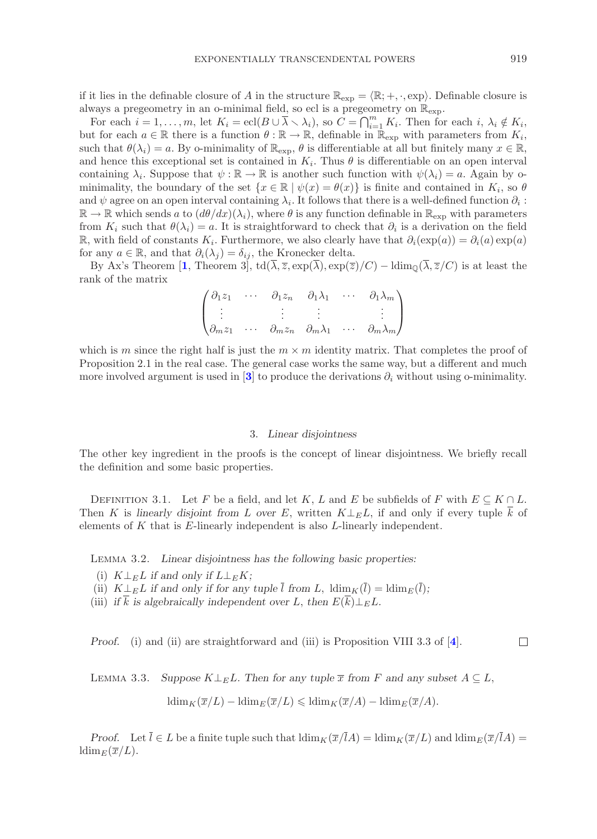if it lies in the definable closure of A in the structure  $\mathbb{R}_{exp} = \langle \mathbb{R}; +, \cdot, \exp \rangle$ . Definable closure is always a pregeometry in an o-minimal field, so ecl is a pregeometry on  $\mathbb{R}_{\text{exp}}$ .

For each  $i = 1, ..., m$ , let  $K_i = \text{ecl}(B \cup \overline{\lambda} \setminus \lambda_i)$ , so  $C = \bigcap_{i=1}^m K_i$ . Then for each  $i, \lambda_i \notin K_i$ , but for each  $a \in \mathbb{R}$  there is a function  $\theta : \mathbb{R} \to \mathbb{R}$ , definable in  $\mathbb{R}_{exp}$  with parameters from  $K_i$ , such that  $\theta(\lambda_i) = a$ . By o-minimality of  $\mathbb{R}_{\text{exp}}$ ,  $\theta$  is differentiable at all but finitely many  $x \in \mathbb{R}$ , and hence this exceptional set is contained in  $K_i$ . Thus  $\theta$  is differentiable on an open interval containing  $\lambda_i$ . Suppose that  $\psi : \mathbb{R} \to \mathbb{R}$  is another such function with  $\psi(\lambda_i) = a$ . Again by ominimality, the boundary of the set  $\{x \in \mathbb{R} \mid \psi(x) = \theta(x)\}\$ is finite and contained in  $K_i$ , so  $\theta$ and  $\psi$  agree on an open interval containing  $\lambda_i$ . It follows that there is a well-defined function  $\partial_i$ :  $\mathbb{R} \to \mathbb{R}$  which sends a to  $(d\theta/dx)(\lambda_i)$ , where  $\theta$  is any function definable in  $\mathbb{R}_{\exp}$  with parameters from  $K_i$  such that  $\theta(\lambda_i) = a$ . It is straightforward to check that  $\partial_i$  is a derivation on the field  $\mathbb{R}$ , with field of constants K<sub>i</sub>. Furthermore, we also clearly have that  $\partial_i(\exp(a)) = \partial_i(a) \exp(a)$ for any  $a \in \mathbb{R}$ , and that  $\partial_i(\lambda_i) = \delta_{ij}$ , the Kronecker delta.

By Ax's Theorem [[1](#page-4-2), Theorem 3], td( $\overline{\lambda}, \overline{z}, \exp(\overline{\lambda}), \exp(\overline{z})/C$ ) – ldim<sub>0</sub>( $\overline{\lambda}, \overline{z}/C$ ) is at least the rank of the matrix

$$
\begin{pmatrix}\n\partial_1 z_1 & \cdots & \partial_1 z_n & \partial_1 \lambda_1 & \cdots & \partial_1 \lambda_m \\
\vdots & \vdots & \vdots & & \vdots \\
\partial_m z_1 & \cdots & \partial_m z_n & \partial_m \lambda_1 & \cdots & \partial_m \lambda_m\n\end{pmatrix}
$$

which is m since the right half is just the  $m \times m$  identity matrix. That completes the proof of Proposition 2.1 in the real case. The general case works the same way, but a different and much more involved argument is used in  $[3]$  $[3]$  $[3]$  to produce the derivations  $\partial_i$  without using o-minimality.

### 3. Linear disjointness

The other key ingredient in the proofs is the concept of linear disjointness. We briefly recall the definition and some basic properties.

DEFINITION 3.1. Let F be a field, and let K, L and E be subfields of F with  $E \subseteq K \cap L$ . Then K is linearly disjoint from L over E, written  $K \perp_E L$ , if and only if every tuple  $\overline{k}$  of elements of K that is E-linearly independent is also L-linearly independent.

Lemma 3.2. Linear disjointness has the following basic properties:

- (i)  $K\perp_E L$  if and only if  $L\perp_E K$ ;
- (ii)  $K \perp_E L$  if and only if for any tuple  $\overline{l}$  from L,  $\text{ldim}_K(\overline{l}) = \text{ldim}_E(\overline{l});$
- (iii) if k is algebraically independent over L, then  $E(\overline{k}) \perp_E L$ .

Proof. (i) and (ii) are straightforward and (iii) is Proposition VIII 3.3 of [[4](#page-4-3)].  $\Box$ 

LEMMA 3.3. Suppose  $K\perp_E L$ . Then for any tuple  $\overline{x}$  from F and any subset  $A\subseteq L$ ,  $\operatorname{ldim}_K(\overline{x}/L) - \operatorname{ldim}_E(\overline{x}/L) \leq \operatorname{ldim}_K(\overline{x}/A) - \operatorname{ldim}_E(\overline{x}/A).$ 

Proof. Let  $\overline{l} \in L$  be a finite tuple such that  $\dim_K(\overline{x}/\overline{l}A) = \dim_K(\overline{x}/L)$  and  $\dim_E(\overline{x}/\overline{l}A) =$  $\lim_{E}(\overline{x}/L).$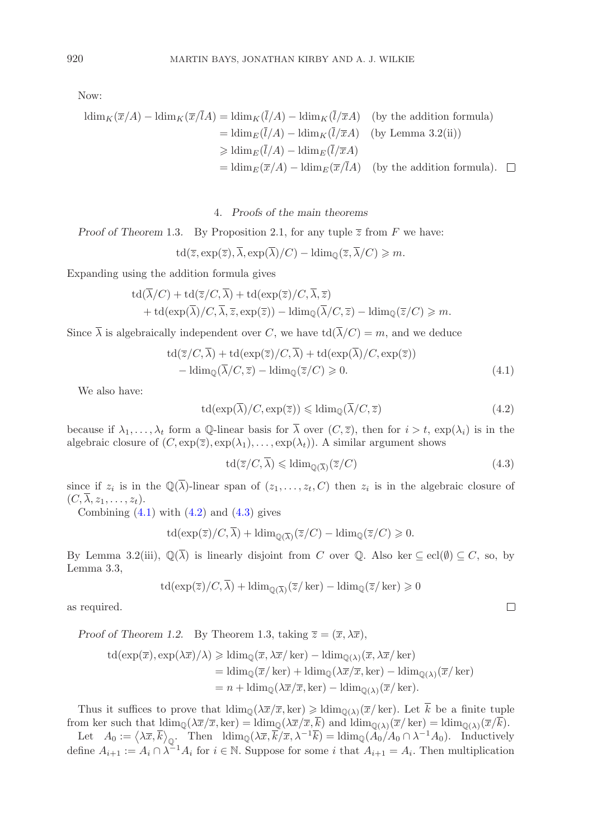Now:

$$
\begin{aligned}\n\text{ldim}_K(\overline{x}/A) - \text{ldim}_K(\overline{x}/\overline{l}A) &= \text{ldim}_K(\overline{l}/A) - \text{ldim}_K(\overline{l}/\overline{x}A) \quad \text{(by the addition formula)} \\
&= \text{ldim}_E(\overline{l}/A) - \text{ldim}_K(\overline{l}/\overline{x}A) \quad \text{(by Lemma 3.2(ii))} \\
&\geq \text{ldim}_E(\overline{l}/A) - \text{ldim}_E(\overline{l}/\overline{x}A) \\
&= \text{ldim}_E(\overline{x}/A) - \text{ldim}_E(\overline{x}/\overline{l}A) \quad \text{(by the addition formula)}.\n\end{aligned}
$$

4. Proofs of the main theorems

Proof of Theorem 1.3. By Proposition 2.1, for any tuple  $\overline{z}$  from F we have:

$$
\operatorname{td}(\overline{z}, \exp(\overline{z}), \overline{\lambda}, \exp(\overline{\lambda})/C) - \operatorname{ldim}_{\mathbb{Q}}(\overline{z}, \overline{\lambda}/C) \geqslant m.
$$

Expanding using the addition formula gives

$$
td(\overline{\lambda}/C) + td(\overline{z}/C, \overline{\lambda}) + td(exp(\overline{z})/C, \overline{\lambda}, \overline{z})
$$
  
+ 
$$
td(exp(\overline{\lambda})/C, \overline{\lambda}, \overline{z}, exp(\overline{z})) - Idim_{\mathbb{Q}}(\overline{\lambda}/C, \overline{z}) - Idim_{\mathbb{Q}}(\overline{z}/C) \geq m.
$$

Since  $\overline{\lambda}$  is algebraically independent over C, we have  $\mathrm{td}(\overline{\lambda}/C) = m$ , and we deduce

$$
td(\overline{z}/C, \overline{\lambda}) + td(\exp(\overline{z})/C, \overline{\lambda}) + td(\exp(\overline{\lambda})/C, \exp(\overline{z}))
$$
  
-  $ldim_{\mathbb{Q}}(\overline{\lambda}/C, \overline{z}) - Idim_{\mathbb{Q}}(\overline{z}/C) \geq 0.$  (4.1)

We also have:

<span id="page-3-1"></span>
$$
\operatorname{td}(\exp(\overline{\lambda})/C, \exp(\overline{z})) \leq \operatorname{ldim}_{\mathbb{Q}}(\overline{\lambda}/C, \overline{z})
$$
\n(4.2)

because if  $\lambda_1,\ldots,\lambda_t$  form a Q-linear basis for  $\overline{\lambda}$  over  $(C,\overline{z})$ , then for  $i>t$ ,  $\exp(\lambda_i)$  is in the algebraic closure of  $(C, \exp(\overline{z}), \exp(\lambda_1), \ldots, \exp(\lambda_t))$ . A similar argument shows

<span id="page-3-2"></span>
$$
\operatorname{td}(\overline{z}/C, \overline{\lambda}) \leqslant \operatorname{ldim}_{\mathbb{Q}(\overline{\lambda})}(\overline{z}/C) \tag{4.3}
$$

since if  $z_i$  is in the  $\mathbb{Q}(\overline{\lambda})$ -linear span of  $(z_1,\ldots,z_t,C)$  then  $z_i$  is in the algebraic closure of  $(C, \overline{\lambda}, z_1, \ldots, z_t).$ 

Combining  $(4.1)$  with  $(4.2)$  and  $(4.3)$  gives

$$
\operatorname{td}(\exp(\overline{z})/C, \overline{\lambda}) + \operatorname{ldim}_{\mathbb{Q}(\overline{\lambda})}(\overline{z}/C) - \operatorname{ldim}_{\mathbb{Q}}(\overline{z}/C) \ge 0.
$$

By Lemma 3.2(iii),  $\mathbb{Q}(\overline{\lambda})$  is linearly disjoint from C over  $\mathbb{Q}$ . Also ker  $\subseteq$  ecl $(\emptyset) \subseteq C$ , so, by Lemma 3.3,

$$
\operatorname{td}(\exp(\overline{z})/C, \overline{\lambda}) + \operatorname{ldim}_{\mathbb{Q}(\overline{\lambda})}(\overline{z}/\ker) - \operatorname{ldim}_{\mathbb{Q}}(\overline{z}/\ker) \geqslant 0
$$

as required.

Proof of Theorem 1.2. By Theorem 1.3, taking  $\overline{z} = (\overline{x}, \lambda \overline{x})$ ,

td(exp(
$$
\overline{x}
$$
), exp( $\lambda \overline{x}$ )/ $\lambda$ )  $\geq$ ldim<sub>Q</sub>( $\overline{x}$ ,  $\lambda \overline{x}$ /ker) –ldim<sub>Q</sub>( $\lambda$ )( $\overline{x}$ ,  $\lambda \overline{x}$ /ker)  
= Idim<sub>Q</sub>( $\overline{x}$ /ker) + Idim<sub>Q</sub>( $\lambda \overline{x}$ / $\overline{x}$ ,ker) – Idim<sub>Q</sub>( $\lambda$ )( $\overline{x}$ /ker)  
=  $n$  + Idim<sub>Q</sub>( $\lambda \overline{x}$ / $\overline{x}$ ,ker) – Idim<sub>Q</sub>( $\lambda$ )( $\overline{x}$ /ker).

Thus it suffices to prove that  $\dim_{\mathbb{Q}}(\lambda \overline{x}/\overline{x}, \ker) \geq \dim_{\mathbb{Q}(\lambda)}(\overline{x}/\ker)$ . Let  $\overline{k}$  be a finite tuple from ker such that  $\dim_{\mathbb{Q}}(\lambda \overline{x}/\overline{x}, \text{ker}) = \dim_{\mathbb{Q}}(\lambda \overline{x}/\overline{x}, \overline{k})$  and  $\dim_{\mathbb{Q}(\lambda)}(\overline{x}/\text{ker}) = \dim_{\mathbb{Q}(\lambda)}(\overline{x}/\overline{k}).$ 

Let  $A_0 := \langle \lambda \overline{x}, \overline{k} \rangle_{\mathbb{Q}}$ . Then  $\operatorname{ldim}_{\mathbb{Q}}(\lambda \overline{x}, \overline{k}/\overline{x}, \lambda^{-1}\overline{k}) = \operatorname{ldim}_{\mathbb{Q}}(\overline{A_0}/A_0 \cap \lambda^{-1}A_0)$ . Inductively define  $A_{i+1} := A_i \cap \lambda^{-1}A_i$  for  $i \in \mathbb{N}$ . Suppose for some i that  $A_{i+1} = A_i$ . Then multiplication

<span id="page-3-0"></span> $\Box$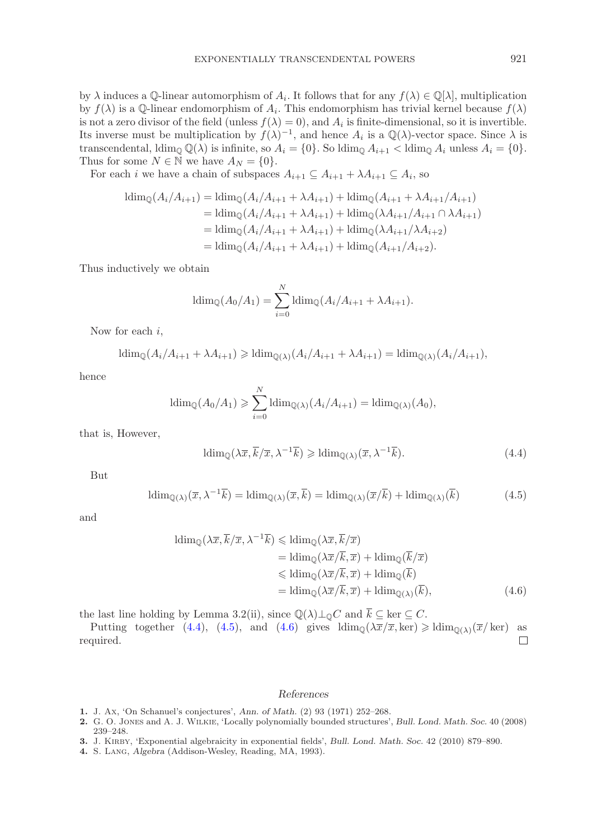by  $\lambda$  induces a Q-linear automorphism of  $A_i$ . It follows that for any  $f(\lambda) \in \mathbb{Q}[\lambda]$ , multiplication by  $f(\lambda)$  is a Q-linear endomorphism of  $A_i$ . This endomorphism has trivial kernel because  $f(\lambda)$ is not a zero divisor of the field (unless  $f(\lambda) = 0$ ), and  $A_i$  is finite-dimensional, so it is invertible. Its inverse must be multiplication by  $f(\lambda)^{-1}$ , and hence  $A_i$  is a Q( $\lambda$ )-vector space. Since  $\lambda$  is transcendental,  $\text{ldim}_{\mathbb{Q}}\mathbb{Q}(\lambda)$  is infinite, so  $A_i = \{0\}$ . So  $\text{ldim}_{\mathbb{Q}} A_{i+1} < \text{ldim}_{\mathbb{Q}} A_i$  unless  $A_i = \{0\}$ . Thus for some  $N \in \mathbb{N}$  we have  $A_N = \{0\}.$ 

For each *i* we have a chain of subspaces  $A_{i+1} \subseteq A_{i+1} + \lambda A_{i+1} \subseteq A_i$ , so

$$
\begin{aligned} \text{ldim}_{\mathbb{Q}}(A_{i}/A_{i+1}) &= \text{ldim}_{\mathbb{Q}}(A_{i}/A_{i+1} + \lambda A_{i+1}) + \text{ldim}_{\mathbb{Q}}(A_{i+1} + \lambda A_{i+1}/A_{i+1}) \\ &= \text{ldim}_{\mathbb{Q}}(A_{i}/A_{i+1} + \lambda A_{i+1}) + \text{ldim}_{\mathbb{Q}}(\lambda A_{i+1}/A_{i+1} \cap \lambda A_{i+1}) \\ &= \text{ldim}_{\mathbb{Q}}(A_{i}/A_{i+1} + \lambda A_{i+1}) + \text{ldim}_{\mathbb{Q}}(\lambda A_{i+1}/\lambda A_{i+2}) \\ &= \text{ldim}_{\mathbb{Q}}(A_{i}/A_{i+1} + \lambda A_{i+1}) + \text{ldim}_{\mathbb{Q}}(A_{i+1}/A_{i+2}). \end{aligned}
$$

Thus inductively we obtain

$$
\operatorname{ldim}_{\mathbb{Q}}(A_0/A_1) = \sum_{i=0}^{N} \operatorname{ldim}_{\mathbb{Q}}(A_i/A_{i+1} + \lambda A_{i+1}).
$$

Now for each  $i$ ,

$$
\operatorname{ldim}_{\mathbb{Q}}(A_i/A_{i+1} + \lambda A_{i+1}) \geq \operatorname{ldim}_{\mathbb{Q}(\lambda)}(A_i/A_{i+1} + \lambda A_{i+1}) = \operatorname{ldim}_{\mathbb{Q}(\lambda)}(A_i/A_{i+1}),
$$

hence

$$
\operatorname{ldim}_{\mathbb{Q}}(A_0/A_1) \geqslant \sum_{i=0}^N \operatorname{ldim}_{\mathbb{Q}(\lambda)}(A_i/A_{i+1}) = \operatorname{ldim}_{\mathbb{Q}(\lambda)}(A_0),
$$

that is, However,

<span id="page-4-4"></span>
$$
\operatorname{ldim}_{\mathbb{Q}}(\lambda \overline{x}, \overline{k}/\overline{x}, \lambda^{-1}\overline{k}) \geqslant \operatorname{ldim}_{\mathbb{Q}(\lambda)}(\overline{x}, \lambda^{-1}\overline{k}).\tag{4.4}
$$

But

<span id="page-4-5"></span>
$$
\operatorname{ldim}_{\mathbb{Q}(\lambda)}(\overline{x}, \lambda^{-1}\overline{k}) = \operatorname{ldim}_{\mathbb{Q}(\lambda)}(\overline{x}, \overline{k}) = \operatorname{ldim}_{\mathbb{Q}(\lambda)}(\overline{x}/\overline{k}) + \operatorname{ldim}_{\mathbb{Q}(\lambda)}(\overline{k})
$$
(4.5)

and

$$
\begin{aligned} \n\operatorname{ldim}_{\mathbb{Q}}(\lambda \overline{x}, \overline{k}/\overline{x}, \lambda^{-1}\overline{k}) &\leq \operatorname{ldim}_{\mathbb{Q}}(\lambda \overline{x}, \overline{k}/\overline{x}) \\ \n&= \operatorname{ldim}_{\mathbb{Q}}(\lambda \overline{x}/\overline{k}, \overline{x}) + \operatorname{ldim}_{\mathbb{Q}}(\overline{k}/\overline{x}) \\ \n&\leq \operatorname{ldim}_{\mathbb{Q}}(\lambda \overline{x}/\overline{k}, \overline{x}) + \operatorname{ldim}_{\mathbb{Q}}(\overline{k}) \\ \n&= \operatorname{ldim}_{\mathbb{Q}}(\lambda \overline{x}/\overline{k}, \overline{x}) + \operatorname{ldim}_{\mathbb{Q}(\lambda)}(\overline{k}), \n\end{aligned} \n\tag{4.6}
$$

the last line holding by Lemma 3.2(ii), since  $\mathbb{Q}(\lambda)\perp_0 C$  and  $\overline{k} \subseteq \text{ker }\subseteq C$ .

Putting together [\(4.4\)](#page-4-4), [\(4.5\)](#page-4-5), and [\(4.6\)](#page-4-6) gives  $\text{ldim}_{\mathbb{Q}}(\lambda \overline{x}/\overline{x}, \text{ker}) \geq \text{ldim}_{\mathbb{Q}(\lambda)}(\overline{x}/\text{ker})$  as quired. required.

## <span id="page-4-6"></span>References

- <span id="page-4-2"></span>1. J. Ax, 'On Schanuel's conjectures', Ann. of Math. (2) 93 (1971) 252–268.
- <span id="page-4-1"></span>2. G. O. Jones and A. J. Wilkie, 'Locally polynomially bounded structures', Bull. Lond. Math. Soc. 40 (2008) 239–248.
- <span id="page-4-3"></span><span id="page-4-0"></span>3. J. KIRBY, 'Exponential algebraicity in exponential fields', Bull. Lond. Math. Soc. 42 (2010) 879–890.
- 4. S. Lang, Algebra (Addison-Wesley, Reading, MA, 1993).